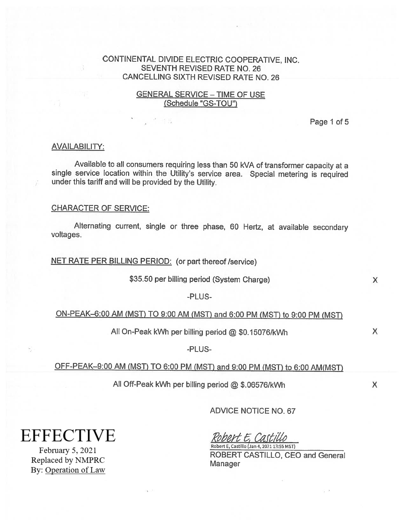## CONTINENTAL DIVIDE ELECTRIC COOPERATIVE, INC. SEVENTH REVISED RATE NO. 26 CANCELLING SIXTH REVISED RATE NO. 26

## GENERAL SERVICE — TIME OF USE (Schedule "GS-TOU")

Page 1 of 5

#### AVAILABILITY:

Available to all consumers requiring less than <sup>50</sup> kVA of transformer capacity at <sup>a</sup> single service location within the Utility's service area. Special metering is required under this tariff and will be provided by the Utility.

#### CHARACTER OF SERVICE:

Alternating current, single or three <sup>p</sup>hase, <sup>60</sup> Hertz, at available secondary voltages.

#### NET RATE PER BILLING PERIOD: (or part thereof /service)

\$35.50 per billing period (System Charge) X

-PLUS

# ON-PEAK-6:00 AM (MST) TO 9:00 AM (MST) and 6:00 PM (MST) to 9:00 PM (MST)

All On-Peak kWh per billing period @ \$0.15076/kWh X

-PLUS

# OFF-PEAK—9:00 AM (MST) TO 6:00 PM (MST) and 9:00 PM (MST) to 6:00 AM(MST)

All Off-Peak kWh per billing period @ \$.06576/kWh <sup>X</sup>

ADVICE NOTICE NO. 67

**EFFECTIVE** 

February 5, 2021 Replaced by NMPRC By: Operation of Law

Robert E, Castillo Robert E, Castillo (Jan 4,2021 13:55 MSI)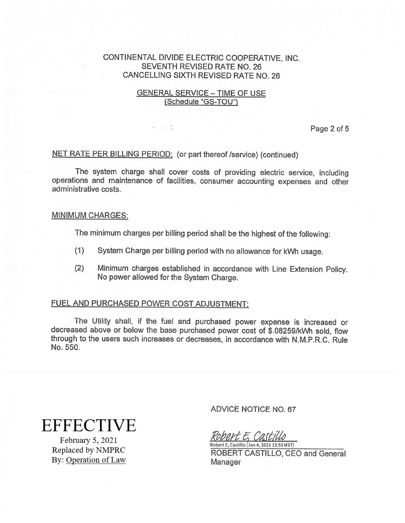## CONTINENTAL DIVIDE ELECTRIC COOPERATIVE, INC. SEVENTH REVISED RATE NO. 26 CANCELLING SIXTH REVISED RATE NO. 26

## GENERAL SERVICE — TIME OF USE (Schedule "GS-TOU")

Page 2 of 5

### NET RATE PER BILLING PERIOD: (or part thereof/service) (continued)

计定等

The system charge shall cover costs of providing electric service, including operations and maintenance of facilities, consumer accounting expenses and other administrative costs.

#### MINIMUM CHARGES:

The minimum charges per billing period shall be the highest of the following:

- (1) System Charge per billing period with no allowance for kWh usage.
- (2) Minimum charges established in accordance with Line Extension Policy. No power allowed for the System Charge.

#### FUEL AND PURCHASED POWER COST ADJUSTMENT:

The Utility shall, if the fuel and purchased power expense is increased or decreased above or below the base purchased power cost of \$.082591kWh sold, flow through to the users such increases or decreases, in accordance with N.M.P.R.C. Rule No. 550.

**EFFECTIVE** 

February 5, 2021 Replaced by NMPRC By: Operation of Law ADVICE NOTICE NO. 67

Robert E. Castillo Robert E, Castillo (Jan 4, 2021 13:55 MST)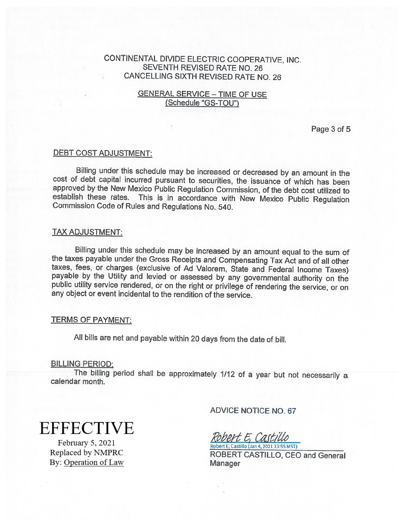# CONTINENTAL DIVIDE ELECTRIC COOPERATIVE, INC. SEVENTH REVISED RATE NO. 26 CANCELLING SIXTH REVISED RATE NO. 26

## GENERAL SERVICE — TIME OF USE (Schedule "GS-TOU")

Page 3 of 5

#### DEBT COST ADJUSTMENT:

Billing under this schedule may be increased or decreased by an amount in the cost of debt capital incurred pursuant to securities, the issuance of which has been approved by the New Mexico Public Regulation Commission, of the debt cost utilized to establish these rates. This is in accordance with New Mexico Public Regulation Commission Code of Rules and Regulations No. 540.

#### TAX ADJUSTMENT:

Billing under this schedule may be increased by an amount equal to the sum of the taxes payable under the Gross Receipts and Compensating Tax Act and of all other taxes, fees, or charges (exclusive of Ad Valorem, State and payable by the Utility and levied or assessed by any governmental authority on the public utility service rendered, or on the right or privilege of rendering the service, or on any object or event incidental to the rendition of the service.

#### TERMS OF PAYMENT:

All bills are net and payable within <sup>20</sup> days from the date of bill.

#### BILLING PERIOD:

The billing period shall be approximately 1/12 of a year but not necessarily a calendar month.

**EFFECTIVE** 

February 5, 2021 Replaced by NMPRC By: Operation of Law ADVICE NOTICE NO.67

Robert E. Castillo Robert E, Castillo (Jan 4,2021 13:55 MST)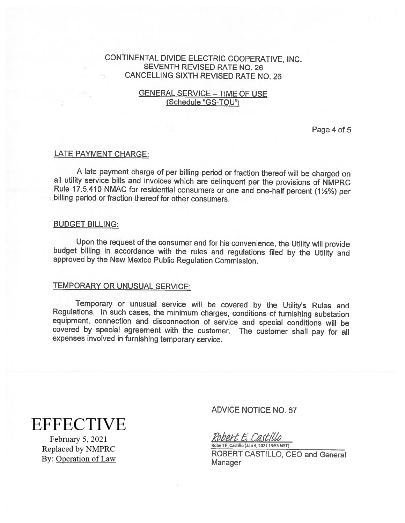# CONTINENTAL DIVIDE ELECTRIC COOPERATIVE, INC. SEVENTH REVISED RATE NO.26 <sup>3</sup> CANCELLING SIXTH REVISED RATE NO. 26

## GENERAL SERVICE — TIME OF USE (Schedule "GS-TOU")

Page 4 of 5

#### LATE PAYMENT CHARGE:

A late payment charge of per billing period or fraction thereof will be charged on all utility service bills and invoices which are delinquent per the provisions of NMPRC Rule 17.5.410 NMAC for residential consumers or on

#### BUDGET BILLING:

Upon the request of the consumer and for his convenience, the Utility will provide budget billing in accordance with the rules and regulations filed by the Utility and approved by the New Mexico Public Regulation Commission.

## TEMPORARY OR UNUSUAL SERVICE:

Temporary or unusual service will be covered by the Utility's Rules and Regulations. In such cases, the minimum charges, conditions of furnishing substation covered by special agreement with the customer. The customer shall pay for all expenses involved in furnishing temporary service.

# **EFFECTIVE**

February 5, 2021 Replaced by NMPRC By: Operation of Law

# ADVICE NOTICE NO. 67

Robert E. Castillo

Robert E, Castillo (Jan 4, 2021 13:55 MST) ROBERT CASTILLO, CEO and General Manager